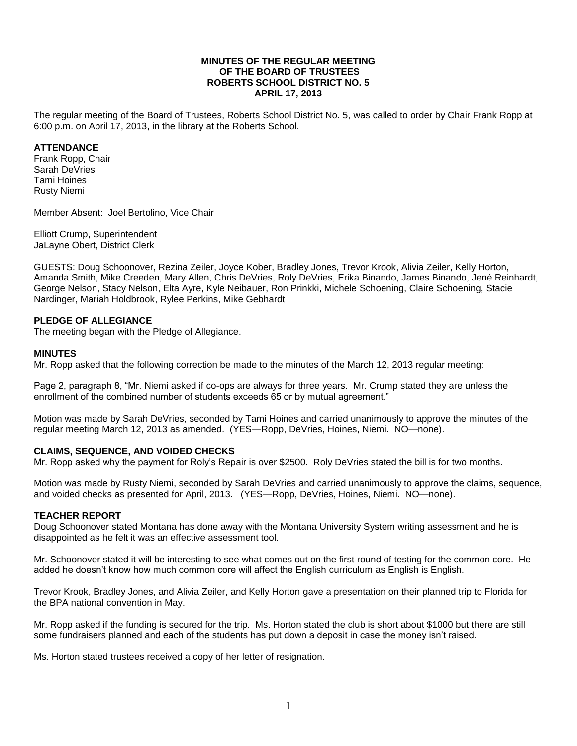#### **MINUTES OF THE REGULAR MEETING OF THE BOARD OF TRUSTEES ROBERTS SCHOOL DISTRICT NO. 5 APRIL 17, 2013**

The regular meeting of the Board of Trustees, Roberts School District No. 5, was called to order by Chair Frank Ropp at 6:00 p.m. on April 17, 2013, in the library at the Roberts School.

### **ATTENDANCE**

Frank Ropp, Chair Sarah DeVries Tami Hoines Rusty Niemi

Member Absent: Joel Bertolino, Vice Chair

Elliott Crump, Superintendent JaLayne Obert, District Clerk

GUESTS: Doug Schoonover, Rezina Zeiler, Joyce Kober, Bradley Jones, Trevor Krook, Alivia Zeiler, Kelly Horton, Amanda Smith, Mike Creeden, Mary Allen, Chris DeVries, Roly DeVries, Erika Binando, James Binando, Jené Reinhardt, George Nelson, Stacy Nelson, Elta Ayre, Kyle Neibauer, Ron Prinkki, Michele Schoening, Claire Schoening, Stacie Nardinger, Mariah Holdbrook, Rylee Perkins, Mike Gebhardt

### **PLEDGE OF ALLEGIANCE**

The meeting began with the Pledge of Allegiance.

#### **MINUTES**

Mr. Ropp asked that the following correction be made to the minutes of the March 12, 2013 regular meeting:

Page 2, paragraph 8, "Mr. Niemi asked if co-ops are always for three years. Mr. Crump stated they are unless the enrollment of the combined number of students exceeds 65 or by mutual agreement."

Motion was made by Sarah DeVries, seconded by Tami Hoines and carried unanimously to approve the minutes of the regular meeting March 12, 2013 as amended. (YES—Ropp, DeVries, Hoines, Niemi. NO—none).

### **CLAIMS, SEQUENCE, AND VOIDED CHECKS**

Mr. Ropp asked why the payment for Roly's Repair is over \$2500. Roly DeVries stated the bill is for two months.

Motion was made by Rusty Niemi, seconded by Sarah DeVries and carried unanimously to approve the claims, sequence, and voided checks as presented for April, 2013. (YES—Ropp, DeVries, Hoines, Niemi. NO—none).

### **TEACHER REPORT**

Doug Schoonover stated Montana has done away with the Montana University System writing assessment and he is disappointed as he felt it was an effective assessment tool.

Mr. Schoonover stated it will be interesting to see what comes out on the first round of testing for the common core. He added he doesn't know how much common core will affect the English curriculum as English is English.

Trevor Krook, Bradley Jones, and Alivia Zeiler, and Kelly Horton gave a presentation on their planned trip to Florida for the BPA national convention in May.

Mr. Ropp asked if the funding is secured for the trip. Ms. Horton stated the club is short about \$1000 but there are still some fundraisers planned and each of the students has put down a deposit in case the money isn't raised.

Ms. Horton stated trustees received a copy of her letter of resignation.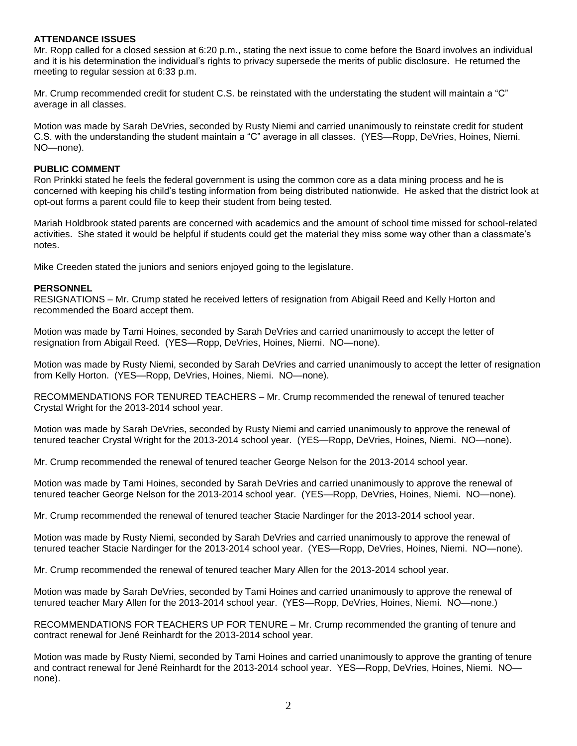#### **ATTENDANCE ISSUES**

Mr. Ropp called for a closed session at 6:20 p.m., stating the next issue to come before the Board involves an individual and it is his determination the individual's rights to privacy supersede the merits of public disclosure. He returned the meeting to regular session at 6:33 p.m.

Mr. Crump recommended credit for student C.S. be reinstated with the understating the student will maintain a "C" average in all classes.

Motion was made by Sarah DeVries, seconded by Rusty Niemi and carried unanimously to reinstate credit for student C.S. with the understanding the student maintain a "C" average in all classes. (YES—Ropp, DeVries, Hoines, Niemi. NO—none).

#### **PUBLIC COMMENT**

Ron Prinkki stated he feels the federal government is using the common core as a data mining process and he is concerned with keeping his child's testing information from being distributed nationwide. He asked that the district look at opt-out forms a parent could file to keep their student from being tested.

Mariah Holdbrook stated parents are concerned with academics and the amount of school time missed for school-related activities. She stated it would be helpful if students could get the material they miss some way other than a classmate's notes.

Mike Creeden stated the juniors and seniors enjoyed going to the legislature.

#### **PERSONNEL**

RESIGNATIONS – Mr. Crump stated he received letters of resignation from Abigail Reed and Kelly Horton and recommended the Board accept them.

Motion was made by Tami Hoines, seconded by Sarah DeVries and carried unanimously to accept the letter of resignation from Abigail Reed. (YES—Ropp, DeVries, Hoines, Niemi. NO—none).

Motion was made by Rusty Niemi, seconded by Sarah DeVries and carried unanimously to accept the letter of resignation from Kelly Horton. (YES—Ropp, DeVries, Hoines, Niemi. NO—none).

RECOMMENDATIONS FOR TENURED TEACHERS – Mr. Crump recommended the renewal of tenured teacher Crystal Wright for the 2013-2014 school year.

Motion was made by Sarah DeVries, seconded by Rusty Niemi and carried unanimously to approve the renewal of tenured teacher Crystal Wright for the 2013-2014 school year. (YES—Ropp, DeVries, Hoines, Niemi. NO—none).

Mr. Crump recommended the renewal of tenured teacher George Nelson for the 2013-2014 school year.

Motion was made by Tami Hoines, seconded by Sarah DeVries and carried unanimously to approve the renewal of tenured teacher George Nelson for the 2013-2014 school year. (YES—Ropp, DeVries, Hoines, Niemi. NO—none).

Mr. Crump recommended the renewal of tenured teacher Stacie Nardinger for the 2013-2014 school year.

Motion was made by Rusty Niemi, seconded by Sarah DeVries and carried unanimously to approve the renewal of tenured teacher Stacie Nardinger for the 2013-2014 school year. (YES—Ropp, DeVries, Hoines, Niemi. NO—none).

Mr. Crump recommended the renewal of tenured teacher Mary Allen for the 2013-2014 school year.

Motion was made by Sarah DeVries, seconded by Tami Hoines and carried unanimously to approve the renewal of tenured teacher Mary Allen for the 2013-2014 school year. (YES—Ropp, DeVries, Hoines, Niemi. NO—none.)

RECOMMENDATIONS FOR TEACHERS UP FOR TENURE – Mr. Crump recommended the granting of tenure and contract renewal for Jené Reinhardt for the 2013-2014 school year.

Motion was made by Rusty Niemi, seconded by Tami Hoines and carried unanimously to approve the granting of tenure and contract renewal for Jené Reinhardt for the 2013-2014 school year. YES—Ropp, DeVries, Hoines, Niemi. NO none).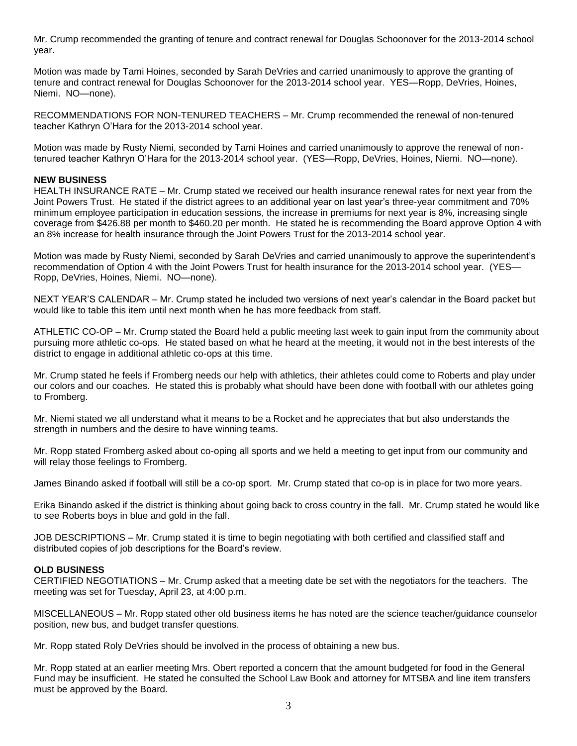Mr. Crump recommended the granting of tenure and contract renewal for Douglas Schoonover for the 2013-2014 school year.

Motion was made by Tami Hoines, seconded by Sarah DeVries and carried unanimously to approve the granting of tenure and contract renewal for Douglas Schoonover for the 2013-2014 school year. YES—Ropp, DeVries, Hoines, Niemi. NO—none).

RECOMMENDATIONS FOR NON-TENURED TEACHERS – Mr. Crump recommended the renewal of non-tenured teacher Kathryn O'Hara for the 2013-2014 school year.

Motion was made by Rusty Niemi, seconded by Tami Hoines and carried unanimously to approve the renewal of nontenured teacher Kathryn O'Hara for the 2013-2014 school year. (YES—Ropp, DeVries, Hoines, Niemi. NO—none).

#### **NEW BUSINESS**

HEALTH INSURANCE RATE – Mr. Crump stated we received our health insurance renewal rates for next year from the Joint Powers Trust. He stated if the district agrees to an additional year on last year's three-year commitment and 70% minimum employee participation in education sessions, the increase in premiums for next year is 8%, increasing single coverage from \$426.88 per month to \$460.20 per month. He stated he is recommending the Board approve Option 4 with an 8% increase for health insurance through the Joint Powers Trust for the 2013-2014 school year.

Motion was made by Rusty Niemi, seconded by Sarah DeVries and carried unanimously to approve the superintendent's recommendation of Option 4 with the Joint Powers Trust for health insurance for the 2013-2014 school year. (YES— Ropp, DeVries, Hoines, Niemi. NO—none).

NEXT YEAR'S CALENDAR – Mr. Crump stated he included two versions of next year's calendar in the Board packet but would like to table this item until next month when he has more feedback from staff.

ATHLETIC CO-OP – Mr. Crump stated the Board held a public meeting last week to gain input from the community about pursuing more athletic co-ops. He stated based on what he heard at the meeting, it would not in the best interests of the district to engage in additional athletic co-ops at this time.

Mr. Crump stated he feels if Fromberg needs our help with athletics, their athletes could come to Roberts and play under our colors and our coaches. He stated this is probably what should have been done with football with our athletes going to Fromberg.

Mr. Niemi stated we all understand what it means to be a Rocket and he appreciates that but also understands the strength in numbers and the desire to have winning teams.

Mr. Ropp stated Fromberg asked about co-oping all sports and we held a meeting to get input from our community and will relay those feelings to Fromberg.

James Binando asked if football will still be a co-op sport. Mr. Crump stated that co-op is in place for two more years.

Erika Binando asked if the district is thinking about going back to cross country in the fall. Mr. Crump stated he would like to see Roberts boys in blue and gold in the fall.

JOB DESCRIPTIONS – Mr. Crump stated it is time to begin negotiating with both certified and classified staff and distributed copies of job descriptions for the Board's review.

### **OLD BUSINESS**

CERTIFIED NEGOTIATIONS – Mr. Crump asked that a meeting date be set with the negotiators for the teachers. The meeting was set for Tuesday, April 23, at 4:00 p.m.

MISCELLANEOUS – Mr. Ropp stated other old business items he has noted are the science teacher/guidance counselor position, new bus, and budget transfer questions.

Mr. Ropp stated Roly DeVries should be involved in the process of obtaining a new bus.

Mr. Ropp stated at an earlier meeting Mrs. Obert reported a concern that the amount budgeted for food in the General Fund may be insufficient. He stated he consulted the School Law Book and attorney for MTSBA and line item transfers must be approved by the Board.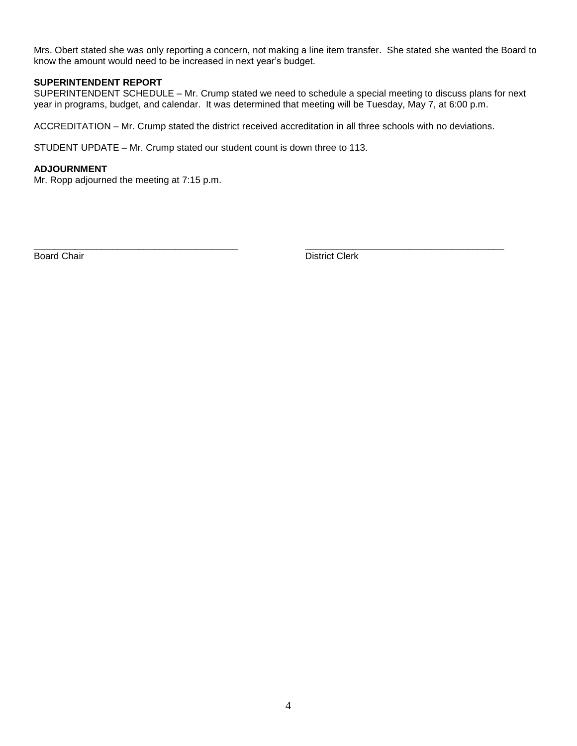Mrs. Obert stated she was only reporting a concern, not making a line item transfer. She stated she wanted the Board to know the amount would need to be increased in next year's budget.

### **SUPERINTENDENT REPORT**

SUPERINTENDENT SCHEDULE – Mr. Crump stated we need to schedule a special meeting to discuss plans for next year in programs, budget, and calendar. It was determined that meeting will be Tuesday, May 7, at 6:00 p.m.

ACCREDITATION – Mr. Crump stated the district received accreditation in all three schools with no deviations.

\_\_\_\_\_\_\_\_\_\_\_\_\_\_\_\_\_\_\_\_\_\_\_\_\_\_\_\_\_\_\_\_\_\_\_\_\_\_\_ \_\_\_\_\_\_\_\_\_\_\_\_\_\_\_\_\_\_\_\_\_\_\_\_\_\_\_\_\_\_\_\_\_\_\_\_\_\_

STUDENT UPDATE – Mr. Crump stated our student count is down three to 113.

### **ADJOURNMENT**

Mr. Ropp adjourned the meeting at 7:15 p.m.

Board Chair **District Clerk**